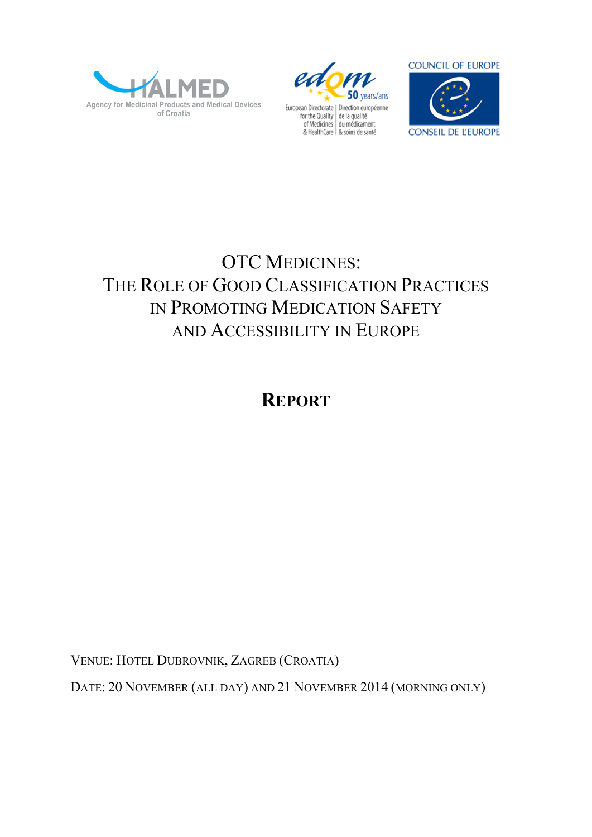





# OTC MEDICINES: THE ROLE OF GOOD CLASSIFICATION PRACTICES IN PROMOTING MEDICATION SAFETY AND ACCESSIBILITY IN EUROPE

# **REPORT**

VENUE: HOTEL DUBROVNIK, ZAGREB (CROATIA)

DATE: 20 NOVEMBER (ALL DAY) AND 21 NOVEMBER 2014 (MORNING ONLY)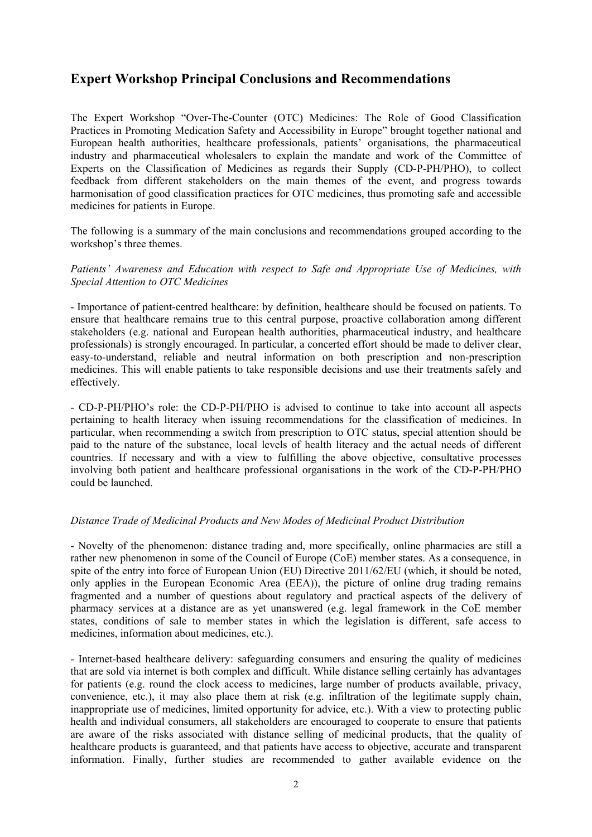# **Expert Workshop Principal Conclusions and Recommendations**

The Expert Workshop "Over-The-Counter (OTC) Medicines: The Role of Good Classification Practices in Promoting Medication Safety and Accessibility in Europe" brought together national and European health authorities, healthcare professionals, patients' organisations, the pharmaceutical industry and pharmaceutical wholesalers to explain the mandate and work of the Committee of Experts on the Classification of Medicines as regards their Supply (CD-P-PH/PHO), to collect feedback from different stakeholders on the main themes of the event, and progress towards harmonisation of good classification practices for OTC medicines, thus promoting safe and accessible medicines for patients in Europe.

The following is a summary of the main conclusions and recommendations grouped according to the workshop's three themes.

#### *Patients' Awareness and Education with respect to Safe and Appropriate Use of Medicines, with Special Attention to OTC Medicines*

- Importance of patient-centred healthcare: by definition, healthcare should be focused on patients. To ensure that healthcare remains true to this central purpose, proactive collaboration among different stakeholders (e.g. national and European health authorities, pharmaceutical industry, and healthcare professionals) is strongly encouraged. In particular, a concerted effort should be made to deliver clear, easy-to-understand, reliable and neutral information on both prescription and non-prescription medicines. This will enable patients to take responsible decisions and use their treatments safely and effectively.

- CD-P-PH/PHO's role: the CD-P-PH/PHO is advised to continue to take into account all aspects pertaining to health literacy when issuing recommendations for the classification of medicines. In particular, when recommending a switch from prescription to OTC status, special attention should be paid to the nature of the substance, local levels of health literacy and the actual needs of different countries. If necessary and with a view to fulfilling the above objective, consultative processes involving both patient and healthcare professional organisations in the work of the CD-P-PH/PHO could be launched.

#### *Distance Trade of Medicinal Products and New Modes of Medicinal Product Distribution*

- Novelty of the phenomenon: distance trading and, more specifically, online pharmacies are still a rather new phenomenon in some of the Council of Europe (CoE) member states. As a consequence, in spite of the entry into force of European Union (EU) Directive 2011/62/EU (which, it should be noted, only applies in the European Economic Area (EEA)), the picture of online drug trading remains fragmented and a number of questions about regulatory and practical aspects of the delivery of pharmacy services at a distance are as yet unanswered (e.g. legal framework in the CoE member states, conditions of sale to member states in which the legislation is different, safe access to medicines, information about medicines, etc.).

- Internet-based healthcare delivery: safeguarding consumers and ensuring the quality of medicines that are sold via internet is both complex and difficult. While distance selling certainly has advantages for patients (e.g. round the clock access to medicines, large number of products available, privacy, convenience, etc.), it may also place them at risk (e.g. infiltration of the legitimate supply chain, inappropriate use of medicines, limited opportunity for advice, etc.). With a view to protecting public health and individual consumers, all stakeholders are encouraged to cooperate to ensure that patients are aware of the risks associated with distance selling of medicinal products, that the quality of healthcare products is guaranteed, and that patients have access to objective, accurate and transparent information. Finally, further studies are recommended to gather available evidence on the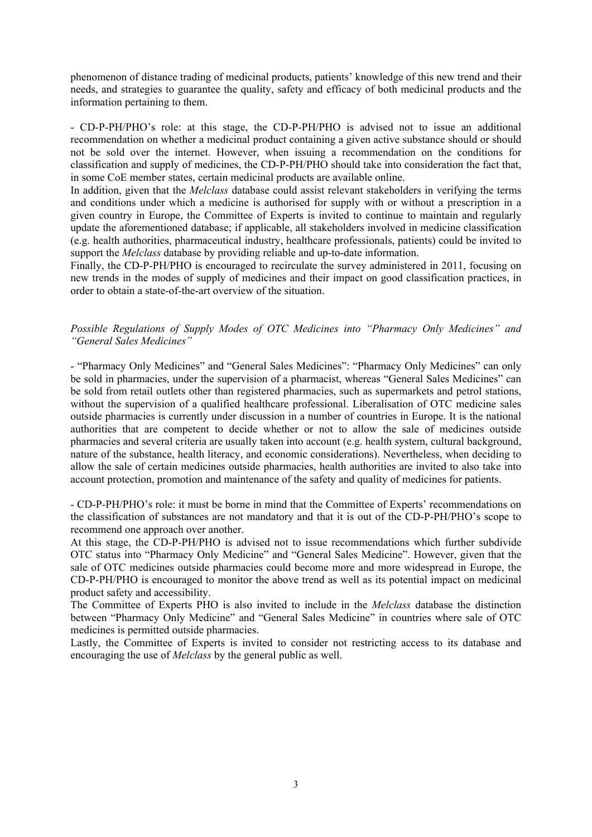phenomenon of distance trading of medicinal products, patients' knowledge of this new trend and their needs, and strategies to guarantee the quality, safety and efficacy of both medicinal products and the information pertaining to them.

- CD-P-PH/PHO's role: at this stage, the CD-P-PH/PHO is advised not to issue an additional recommendation on whether a medicinal product containing a given active substance should or should not be sold over the internet. However, when issuing a recommendation on the conditions for classification and supply of medicines, the CD-P-PH/PHO should take into consideration the fact that, in some CoE member states, certain medicinal products are available online.

In addition, given that the *Melclass* database could assist relevant stakeholders in verifying the terms and conditions under which a medicine is authorised for supply with or without a prescription in a given country in Europe, the Committee of Experts is invited to continue to maintain and regularly update the aforementioned database; if applicable, all stakeholders involved in medicine classification (e.g. health authorities, pharmaceutical industry, healthcare professionals, patients) could be invited to support the *Melclass* database by providing reliable and up-to-date information.

Finally, the CD-P-PH/PHO is encouraged to recirculate the survey administered in 2011, focusing on new trends in the modes of supply of medicines and their impact on good classification practices, in order to obtain a state-of-the-art overview of the situation.

*Possible Regulations of Supply Modes of OTC Medicines into "Pharmacy Only Medicines" and "General Sales Medicines"* 

- "Pharmacy Only Medicines" and "General Sales Medicines": "Pharmacy Only Medicines" can only be sold in pharmacies, under the supervision of a pharmacist, whereas "General Sales Medicines" can be sold from retail outlets other than registered pharmacies, such as supermarkets and petrol stations, without the supervision of a qualified healthcare professional. Liberalisation of OTC medicine sales outside pharmacies is currently under discussion in a number of countries in Europe. It is the national authorities that are competent to decide whether or not to allow the sale of medicines outside pharmacies and several criteria are usually taken into account (e.g. health system, cultural background, nature of the substance, health literacy, and economic considerations). Nevertheless, when deciding to allow the sale of certain medicines outside pharmacies, health authorities are invited to also take into account protection, promotion and maintenance of the safety and quality of medicines for patients.

- CD-P-PH/PHO's role: it must be borne in mind that the Committee of Experts' recommendations on the classification of substances are not mandatory and that it is out of the CD-P-PH/PHO's scope to recommend one approach over another.

At this stage, the CD-P-PH/PHO is advised not to issue recommendations which further subdivide OTC status into "Pharmacy Only Medicine" and "General Sales Medicine". However, given that the sale of OTC medicines outside pharmacies could become more and more widespread in Europe, the CD-P-PH/PHO is encouraged to monitor the above trend as well as its potential impact on medicinal product safety and accessibility.

The Committee of Experts PHO is also invited to include in the *Melclass* database the distinction between "Pharmacy Only Medicine" and "General Sales Medicine" in countries where sale of OTC medicines is permitted outside pharmacies.

Lastly, the Committee of Experts is invited to consider not restricting access to its database and encouraging the use of *Melclass* by the general public as well.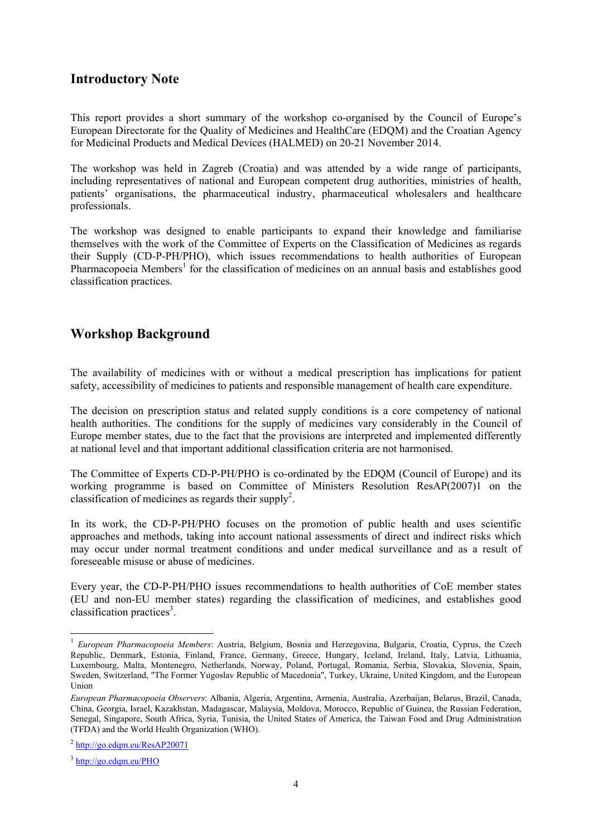# **Introductory Note**

This report provides a short summary of the workshop co-organised by the Council of Europe's European Directorate for the Quality of Medicines and HealthCare (EDQM) and the Croatian Agency for Medicinal Products and Medical Devices (HALMED) on 20-21 November 2014.

The workshop was held in Zagreb (Croatia) and was attended by a wide range of participants, including representatives of national and European competent drug authorities, ministries of health, patients' organisations, the pharmaceutical industry, pharmaceutical wholesalers and healthcare professionals.

The workshop was designed to enable participants to expand their knowledge and familiarise themselves with the work of the Committee of Experts on the Classification of Medicines as regards their Supply (CD-P-PH/PHO), which issues recommendations to health authorities of European Pharmacopoeia Members<sup>1</sup> for the classification of medicines on an annual basis and establishes good classification practices.

# **Workshop Background**

The availability of medicines with or without a medical prescription has implications for patient safety, accessibility of medicines to patients and responsible management of health care expenditure.

The decision on prescription status and related supply conditions is a core competency of national health authorities. The conditions for the supply of medicines vary considerably in the Council of Europe member states, due to the fact that the provisions are interpreted and implemented differently at national level and that important additional classification criteria are not harmonised.

The Committee of Experts CD-P-PH/PHO is co-ordinated by the EDQM (Council of Europe) and its working programme is based on Committee of Ministers Resolution ResAP(2007)1 on the classification of medicines as regards their supply<sup>2</sup>.

In its work, the CD-P-PH/PHO focuses on the promotion of public health and uses scientific approaches and methods, taking into account national assessments of direct and indirect risks which may occur under normal treatment conditions and under medical surveillance and as a result of foreseeable misuse or abuse of medicines.

Every year, the CD-P-PH/PHO issues recommendations to health authorities of CoE member states (EU and non-EU member states) regarding the classification of medicines, and establishes good classification practices<sup>3</sup>.

-

<sup>&</sup>lt;sup>1</sup> *European Pharmacopoeia Members*: Austria, Belgium, Bosnia and Herzegovina, Bulgaria, Croatia, Cyprus, the Czech Republic, Denmark, Estonia, Finland, France, Germany, Greece, Hungary, Iceland, Ireland, Italy, Latvia, Lithuania, Luxembourg, Malta, Montenegro, Netherlands, Norway, Poland, Portugal, Romania, Serbia, Slovakia, Slovenia, Spain, Sweden, Switzerland, "The Former Yugoslav Republic of Macedonia", Turkey, Ukraine, United Kingdom, and the European Union

*European Pharmacopoeia Observers*: Albania, Algeria, Argentina, Armenia, Australia, Azerbaijan, Belarus, Brazil, Canada, China, Georgia, Israel, Kazakhstan, Madagascar, Malaysia, Moldova, Morocco, Republic of Guinea, the Russian Federation, Senegal, Singapore, South Africa, Syria, Tunisia, the United States of America, the Taiwan Food and Drug Administration (TFDA) and the World Health Organization (WHO).

<sup>2</sup> http://go.edqm.eu/ResAP20071

<sup>3</sup> http://go.edqm.eu/PHO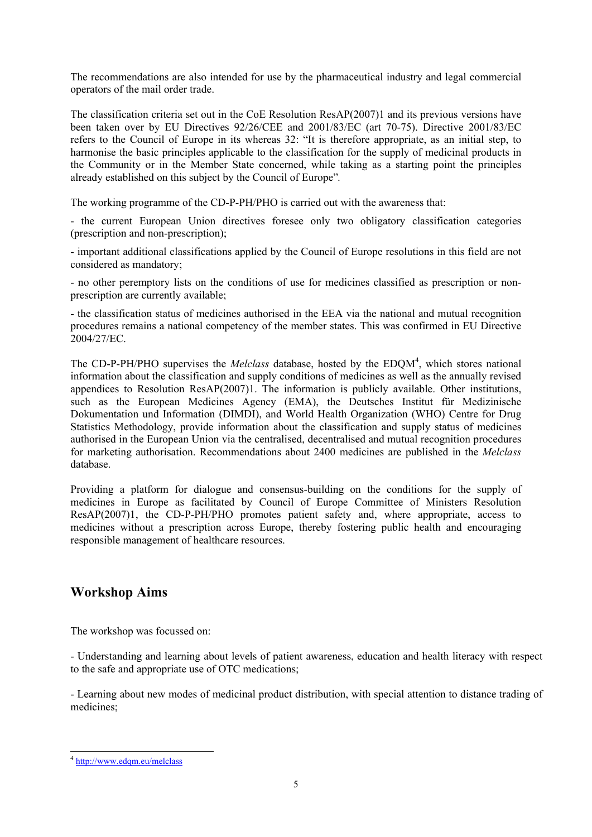The recommendations are also intended for use by the pharmaceutical industry and legal commercial operators of the mail order trade.

The classification criteria set out in the CoE Resolution ResAP(2007)1 and its previous versions have been taken over by EU Directives 92/26/CEE and 2001/83/EC (art 70-75). Directive 2001/83/EC refers to the Council of Europe in its whereas 32: "It is therefore appropriate, as an initial step, to harmonise the basic principles applicable to the classification for the supply of medicinal products in the Community or in the Member State concerned, while taking as a starting point the principles already established on this subject by the Council of Europe"*.* 

The working programme of the CD-P-PH/PHO is carried out with the awareness that:

- the current European Union directives foresee only two obligatory classification categories (prescription and non-prescription);

- important additional classifications applied by the Council of Europe resolutions in this field are not considered as mandatory;

- no other peremptory lists on the conditions of use for medicines classified as prescription or nonprescription are currently available;

- the classification status of medicines authorised in the EEA via the national and mutual recognition procedures remains a national competency of the member states. This was confirmed in EU Directive 2004/27/EC.

The CD-P-PH/PHO supervises the *Melclass* database, hosted by the EDQM<sup>4</sup>, which stores national information about the classification and supply conditions of medicines as well as the annually revised appendices to Resolution ResAP(2007)1. The information is publicly available. Other institutions, such as the European Medicines Agency (EMA), the Deutsches Institut für Medizinische Dokumentation und Information (DIMDI), and World Health Organization (WHO) Centre for Drug Statistics Methodology, provide information about the classification and supply status of medicines authorised in the European Union via the centralised, decentralised and mutual recognition procedures for marketing authorisation. Recommendations about 2400 medicines are published in the *Melclass* database.

Providing a platform for dialogue and consensus-building on the conditions for the supply of medicines in Europe as facilitated by Council of Europe Committee of Ministers Resolution ResAP(2007)1, the CD-P-PH/PHO promotes patient safety and, where appropriate, access to medicines without a prescription across Europe, thereby fostering public health and encouraging responsible management of healthcare resources.

# **Workshop Aims**

The workshop was focussed on:

- Understanding and learning about levels of patient awareness, education and health literacy with respect to the safe and appropriate use of OTC medications;

- Learning about new modes of medicinal product distribution, with special attention to distance trading of medicines;

<sup>-</sup><sup>4</sup> http://www.edqm.eu/melclass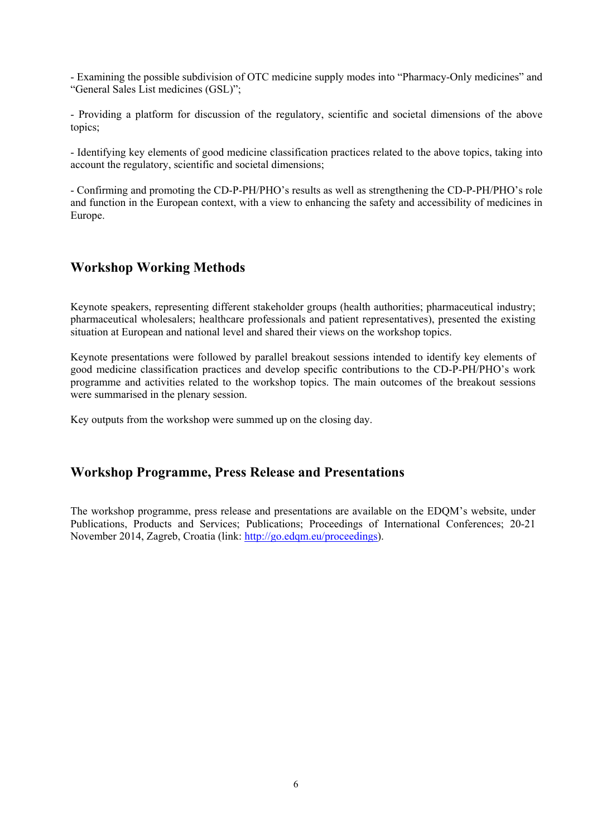- Examining the possible subdivision of OTC medicine supply modes into "Pharmacy-Only medicines" and "General Sales List medicines (GSL)";

- Providing a platform for discussion of the regulatory, scientific and societal dimensions of the above topics;

- Identifying key elements of good medicine classification practices related to the above topics, taking into account the regulatory, scientific and societal dimensions;

- Confirming and promoting the CD-P-PH/PHO's results as well as strengthening the CD-P-PH/PHO's role and function in the European context, with a view to enhancing the safety and accessibility of medicines in Europe.

# **Workshop Working Methods**

Keynote speakers, representing different stakeholder groups (health authorities; pharmaceutical industry; pharmaceutical wholesalers; healthcare professionals and patient representatives), presented the existing situation at European and national level and shared their views on the workshop topics.

Keynote presentations were followed by parallel breakout sessions intended to identify key elements of good medicine classification practices and develop specific contributions to the CD-P-PH/PHO's work programme and activities related to the workshop topics. The main outcomes of the breakout sessions were summarised in the plenary session.

Key outputs from the workshop were summed up on the closing day.

# **Workshop Programme, Press Release and Presentations**

The workshop programme, press release and presentations are available on the EDQM's website, under Publications, Products and Services; Publications; Proceedings of International Conferences; 20-21 November 2014, Zagreb, Croatia (link: http://go.edqm.eu/proceedings).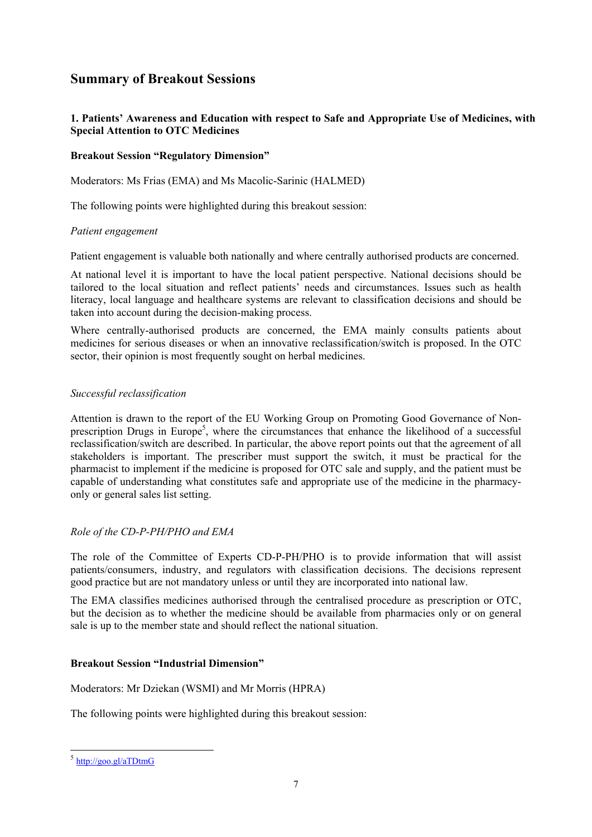# **Summary of Breakout Sessions**

## **1. Patients' Awareness and Education with respect to Safe and Appropriate Use of Medicines, with Special Attention to OTC Medicines**

## **Breakout Session "Regulatory Dimension"**

Moderators: Ms Frias (EMA) and Ms Macolic-Sarinic (HALMED)

The following points were highlighted during this breakout session:

#### *Patient engagement*

Patient engagement is valuable both nationally and where centrally authorised products are concerned.

At national level it is important to have the local patient perspective. National decisions should be tailored to the local situation and reflect patients' needs and circumstances. Issues such as health literacy, local language and healthcare systems are relevant to classification decisions and should be taken into account during the decision-making process.

Where centrally-authorised products are concerned, the EMA mainly consults patients about medicines for serious diseases or when an innovative reclassification/switch is proposed. In the OTC sector, their opinion is most frequently sought on herbal medicines.

#### *Successful reclassification*

Attention is drawn to the report of the EU Working Group on Promoting Good Governance of Nonprescription Drugs in Europe<sup>5</sup>, where the circumstances that enhance the likelihood of a successful reclassification/switch are described. In particular, the above report points out that the agreement of all stakeholders is important. The prescriber must support the switch, it must be practical for the pharmacist to implement if the medicine is proposed for OTC sale and supply, and the patient must be capable of understanding what constitutes safe and appropriate use of the medicine in the pharmacyonly or general sales list setting.

## *Role of the CD-P-PH/PHO and EMA*

The role of the Committee of Experts CD-P-PH/PHO is to provide information that will assist patients/consumers, industry, and regulators with classification decisions. The decisions represent good practice but are not mandatory unless or until they are incorporated into national law.

The EMA classifies medicines authorised through the centralised procedure as prescription or OTC, but the decision as to whether the medicine should be available from pharmacies only or on general sale is up to the member state and should reflect the national situation.

## **Breakout Session "Industrial Dimension"**

Moderators: Mr Dziekan (WSMI) and Mr Morris (HPRA)

The following points were highlighted during this breakout session:

-

<sup>&</sup>lt;sup>5</sup> http://goo.gl/aTDtmG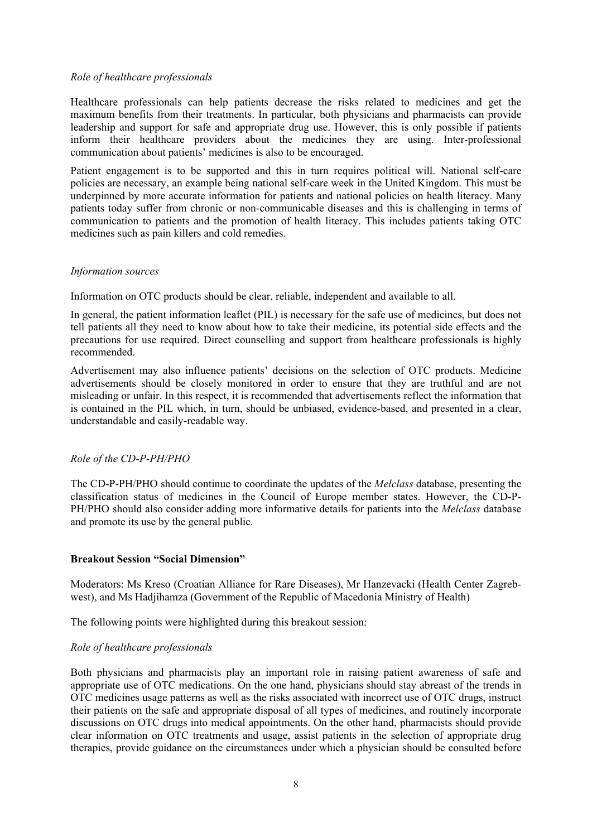#### *Role of healthcare professionals*

Healthcare professionals can help patients decrease the risks related to medicines and get the maximum benefits from their treatments. In particular, both physicians and pharmacists can provide leadership and support for safe and appropriate drug use. However, this is only possible if patients inform their healthcare providers about the medicines they are using. Inter-professional communication about patients' medicines is also to be encouraged.

Patient engagement is to be supported and this in turn requires political will. National self-care policies are necessary, an example being national self-care week in the United Kingdom. This must be underpinned by more accurate information for patients and national policies on health literacy. Many patients today suffer from chronic or non-communicable diseases and this is challenging in terms of communication to patients and the promotion of health literacy. This includes patients taking OTC medicines such as pain killers and cold remedies.

#### *Information sources*

Information on OTC products should be clear, reliable, independent and available to all.

In general, the patient information leaflet (PIL) is necessary for the safe use of medicines, but does not tell patients all they need to know about how to take their medicine, its potential side effects and the precautions for use required. Direct counselling and support from healthcare professionals is highly recommended.

Advertisement may also influence patients' decisions on the selection of OTC products. Medicine advertisements should be closely monitored in order to ensure that they are truthful and are not misleading or unfair. In this respect, it is recommended that advertisements reflect the information that is contained in the PIL which, in turn, should be unbiased, evidence-based, and presented in a clear, understandable and easily-readable way.

#### *Role of the CD-P-PH/PHO*

The CD-P-PH/PHO should continue to coordinate the updates of the *Melclass* database, presenting the classification status of medicines in the Council of Europe member states. However, the CD-P-PH/PHO should also consider adding more informative details for patients into the *Melclass* database and promote its use by the general public.

#### **Breakout Session "Social Dimension"**

Moderators: Ms Kreso (Croatian Alliance for Rare Diseases), Mr Hanzevacki (Health Center Zagrebwest), and Ms Hadjihamza (Government of the Republic of Macedonia Ministry of Health)

The following points were highlighted during this breakout session:

#### *Role of healthcare professionals*

Both physicians and pharmacists play an important role in raising patient awareness of safe and appropriate use of OTC medications. On the one hand, physicians should stay abreast of the trends in OTC medicines usage patterns as well as the risks associated with incorrect use of OTC drugs, instruct their patients on the safe and appropriate disposal of all types of medicines, and routinely incorporate discussions on OTC drugs into medical appointments. On the other hand, pharmacists should provide clear information on OTC treatments and usage, assist patients in the selection of appropriate drug therapies, provide guidance on the circumstances under which a physician should be consulted before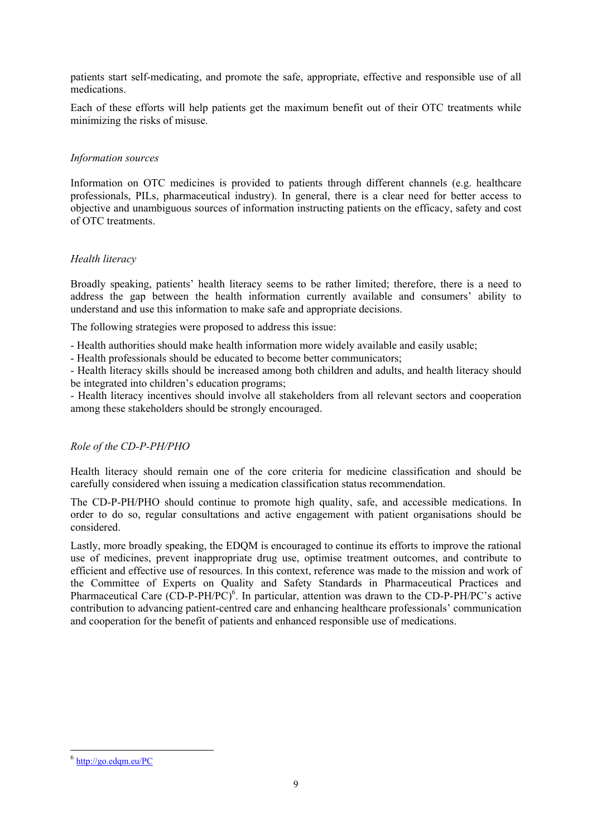patients start self-medicating, and promote the safe, appropriate, effective and responsible use of all medications.

Each of these efforts will help patients get the maximum benefit out of their OTC treatments while minimizing the risks of misuse.

#### *Information sources*

Information on OTC medicines is provided to patients through different channels (e.g. healthcare professionals, PILs, pharmaceutical industry). In general, there is a clear need for better access to objective and unambiguous sources of information instructing patients on the efficacy, safety and cost of OTC treatments.

#### *Health literacy*

Broadly speaking, patients' health literacy seems to be rather limited; therefore, there is a need to address the gap between the health information currently available and consumers' ability to understand and use this information to make safe and appropriate decisions.

The following strategies were proposed to address this issue:

- Health authorities should make health information more widely available and easily usable;

- Health professionals should be educated to become better communicators;

- Health literacy skills should be increased among both children and adults, and health literacy should be integrated into children's education programs;

- Health literacy incentives should involve all stakeholders from all relevant sectors and cooperation among these stakeholders should be strongly encouraged.

## *Role of the CD-P-PH/PHO*

Health literacy should remain one of the core criteria for medicine classification and should be carefully considered when issuing a medication classification status recommendation.

The CD-P-PH/PHO should continue to promote high quality, safe, and accessible medications. In order to do so, regular consultations and active engagement with patient organisations should be considered.

Lastly, more broadly speaking, the EDQM is encouraged to continue its efforts to improve the rational use of medicines, prevent inappropriate drug use, optimise treatment outcomes, and contribute to efficient and effective use of resources. In this context, reference was made to the mission and work of the Committee of Experts on Quality and Safety Standards in Pharmaceutical Practices and Pharmaceutical Care  $(CD-P-PH/PC)^6$ . In particular, attention was drawn to the CD-P-PH/PC's active contribution to advancing patient-centred care and enhancing healthcare professionals' communication and cooperation for the benefit of patients and enhanced responsible use of medications.

-

<sup>6</sup> http://go.edqm.eu/PC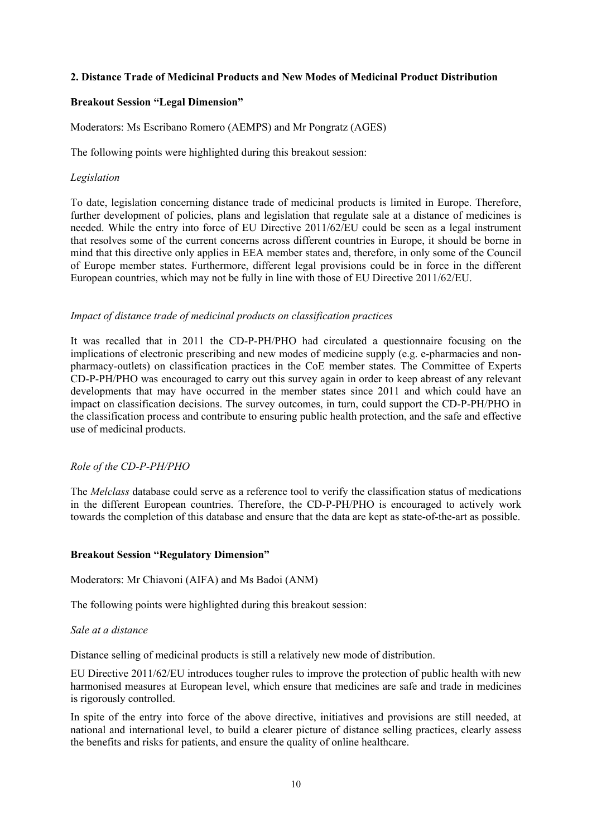#### **2. Distance Trade of Medicinal Products and New Modes of Medicinal Product Distribution**

#### **Breakout Session "Legal Dimension"**

Moderators: Ms Escribano Romero (AEMPS) and Mr Pongratz (AGES)

The following points were highlighted during this breakout session:

#### *Legislation*

To date, legislation concerning distance trade of medicinal products is limited in Europe. Therefore, further development of policies, plans and legislation that regulate sale at a distance of medicines is needed. While the entry into force of EU Directive 2011/62/EU could be seen as a legal instrument that resolves some of the current concerns across different countries in Europe, it should be borne in mind that this directive only applies in EEA member states and, therefore, in only some of the Council of Europe member states. Furthermore, different legal provisions could be in force in the different European countries, which may not be fully in line with those of EU Directive 2011/62/EU.

#### *Impact of distance trade of medicinal products on classification practices*

It was recalled that in 2011 the CD-P-PH/PHO had circulated a questionnaire focusing on the implications of electronic prescribing and new modes of medicine supply (e.g. e-pharmacies and nonpharmacy-outlets) on classification practices in the CoE member states. The Committee of Experts CD-P-PH/PHO was encouraged to carry out this survey again in order to keep abreast of any relevant developments that may have occurred in the member states since 2011 and which could have an impact on classification decisions. The survey outcomes, in turn, could support the CD-P-PH/PHO in the classification process and contribute to ensuring public health protection, and the safe and effective use of medicinal products.

## *Role of the CD-P-PH/PHO*

The *Melclass* database could serve as a reference tool to verify the classification status of medications in the different European countries. Therefore, the CD-P-PH/PHO is encouraged to actively work towards the completion of this database and ensure that the data are kept as state-of-the-art as possible.

#### **Breakout Session "Regulatory Dimension"**

Moderators: Mr Chiavoni (AIFA) and Ms Badoi (ANM)

The following points were highlighted during this breakout session:

#### *Sale at a distance*

Distance selling of medicinal products is still a relatively new mode of distribution.

EU Directive 2011/62/EU introduces tougher rules to improve the protection of public health with new harmonised measures at European level, which ensure that medicines are safe and trade in medicines is rigorously controlled.

In spite of the entry into force of the above directive, initiatives and provisions are still needed, at national and international level, to build a clearer picture of distance selling practices, clearly assess the benefits and risks for patients, and ensure the quality of online healthcare.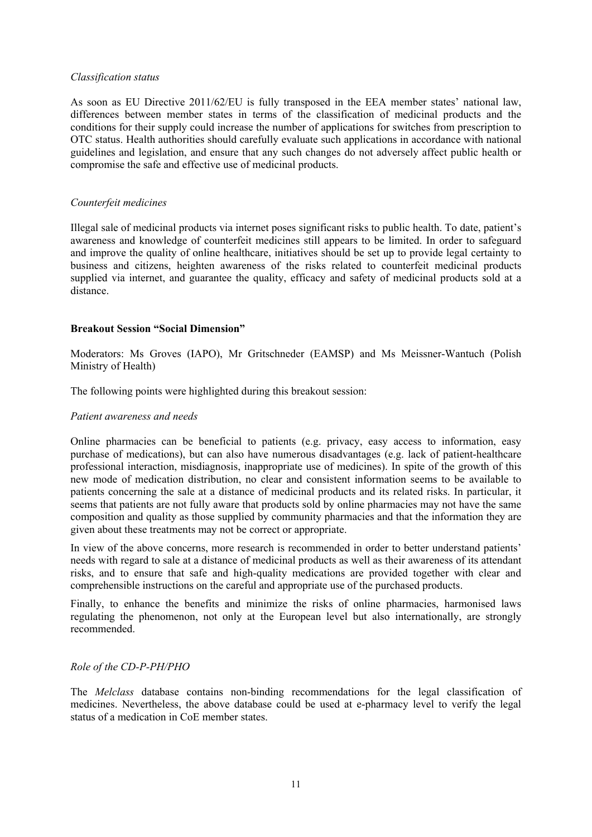#### *Classification status*

As soon as EU Directive 2011/62/EU is fully transposed in the EEA member states' national law, differences between member states in terms of the classification of medicinal products and the conditions for their supply could increase the number of applications for switches from prescription to OTC status. Health authorities should carefully evaluate such applications in accordance with national guidelines and legislation, and ensure that any such changes do not adversely affect public health or compromise the safe and effective use of medicinal products.

#### *Counterfeit medicines*

Illegal sale of medicinal products via internet poses significant risks to public health. To date, patient's awareness and knowledge of counterfeit medicines still appears to be limited. In order to safeguard and improve the quality of online healthcare, initiatives should be set up to provide legal certainty to business and citizens, heighten awareness of the risks related to counterfeit medicinal products supplied via internet, and guarantee the quality, efficacy and safety of medicinal products sold at a distance.

#### **Breakout Session "Social Dimension"**

Moderators: Ms Groves (IAPO), Mr Gritschneder (EAMSP) and Ms Meissner-Wantuch (Polish Ministry of Health)

The following points were highlighted during this breakout session:

#### *Patient awareness and needs*

Online pharmacies can be beneficial to patients (e.g. privacy, easy access to information, easy purchase of medications), but can also have numerous disadvantages (e.g. lack of patient-healthcare professional interaction, misdiagnosis, inappropriate use of medicines). In spite of the growth of this new mode of medication distribution, no clear and consistent information seems to be available to patients concerning the sale at a distance of medicinal products and its related risks. In particular, it seems that patients are not fully aware that products sold by online pharmacies may not have the same composition and quality as those supplied by community pharmacies and that the information they are given about these treatments may not be correct or appropriate.

In view of the above concerns, more research is recommended in order to better understand patients' needs with regard to sale at a distance of medicinal products as well as their awareness of its attendant risks, and to ensure that safe and high-quality medications are provided together with clear and comprehensible instructions on the careful and appropriate use of the purchased products.

Finally, to enhance the benefits and minimize the risks of online pharmacies, harmonised laws regulating the phenomenon, not only at the European level but also internationally, are strongly recommended.

#### *Role of the CD-P-PH/PHO*

The *Melclass* database contains non-binding recommendations for the legal classification of medicines. Nevertheless, the above database could be used at e-pharmacy level to verify the legal status of a medication in CoE member states.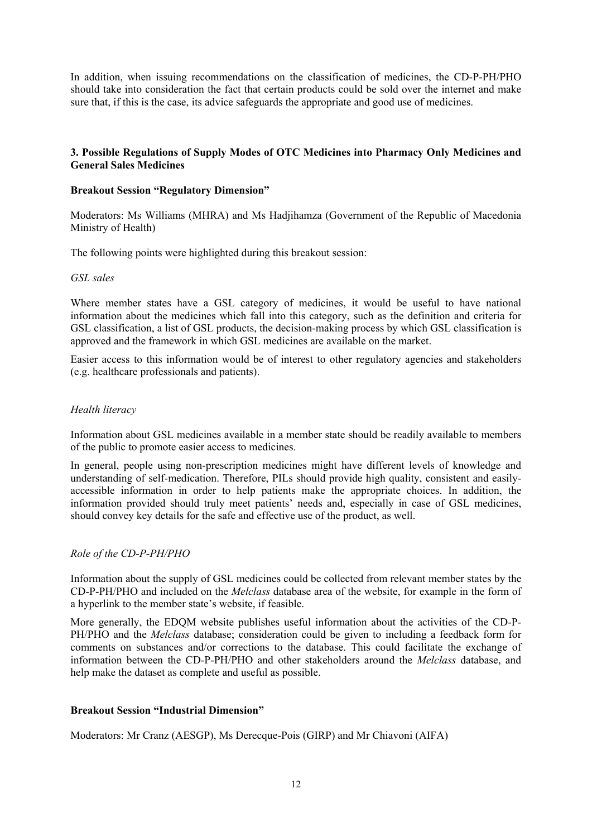In addition, when issuing recommendations on the classification of medicines, the CD-P-PH/PHO should take into consideration the fact that certain products could be sold over the internet and make sure that, if this is the case, its advice safeguards the appropriate and good use of medicines.

#### **3. Possible Regulations of Supply Modes of OTC Medicines into Pharmacy Only Medicines and General Sales Medicines**

#### **Breakout Session "Regulatory Dimension"**

Moderators: Ms Williams (MHRA) and Ms Hadjihamza (Government of the Republic of Macedonia Ministry of Health)

The following points were highlighted during this breakout session:

#### *GSL sales*

Where member states have a GSL category of medicines, it would be useful to have national information about the medicines which fall into this category, such as the definition and criteria for GSL classification, a list of GSL products, the decision-making process by which GSL classification is approved and the framework in which GSL medicines are available on the market.

Easier access to this information would be of interest to other regulatory agencies and stakeholders (e.g. healthcare professionals and patients).

#### *Health literacy*

Information about GSL medicines available in a member state should be readily available to members of the public to promote easier access to medicines.

In general, people using non-prescription medicines might have different levels of knowledge and understanding of self-medication. Therefore, PILs should provide high quality, consistent and easilyaccessible information in order to help patients make the appropriate choices. In addition, the information provided should truly meet patients' needs and, especially in case of GSL medicines, should convey key details for the safe and effective use of the product, as well.

## *Role of the CD-P-PH/PHO*

Information about the supply of GSL medicines could be collected from relevant member states by the CD-P-PH/PHO and included on the *Melclass* database area of the website, for example in the form of a hyperlink to the member state's website, if feasible.

More generally, the EDQM website publishes useful information about the activities of the CD-P-PH/PHO and the *Melclass* database; consideration could be given to including a feedback form for comments on substances and/or corrections to the database. This could facilitate the exchange of information between the CD-P-PH/PHO and other stakeholders around the *Melclass* database, and help make the dataset as complete and useful as possible.

## **Breakout Session "Industrial Dimension"**

Moderators: Mr Cranz (AESGP), Ms Derecque-Pois (GIRP) and Mr Chiavoni (AIFA)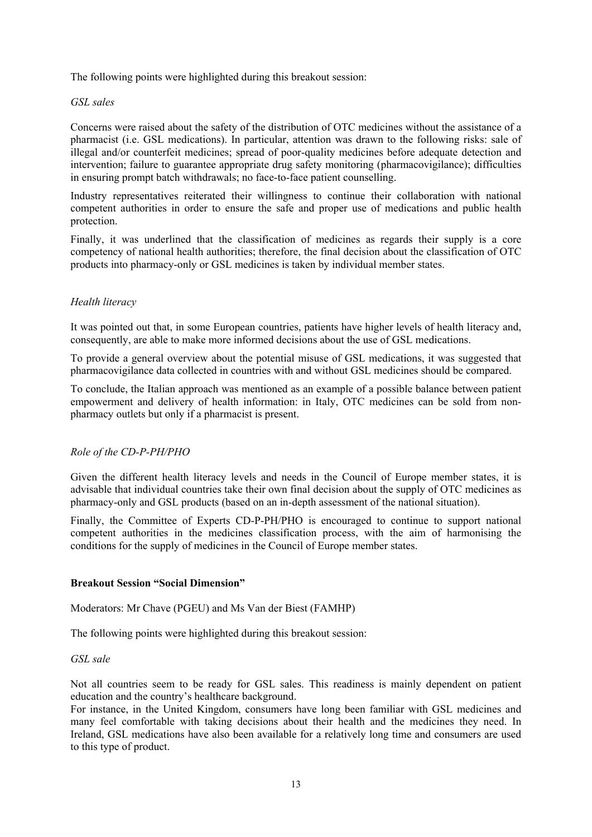The following points were highlighted during this breakout session:

#### *GSL sales*

Concerns were raised about the safety of the distribution of OTC medicines without the assistance of a pharmacist (i.e. GSL medications). In particular, attention was drawn to the following risks: sale of illegal and/or counterfeit medicines; spread of poor-quality medicines before adequate detection and intervention; failure to guarantee appropriate drug safety monitoring (pharmacovigilance); difficulties in ensuring prompt batch withdrawals; no face-to-face patient counselling.

Industry representatives reiterated their willingness to continue their collaboration with national competent authorities in order to ensure the safe and proper use of medications and public health protection.

Finally, it was underlined that the classification of medicines as regards their supply is a core competency of national health authorities; therefore, the final decision about the classification of OTC products into pharmacy-only or GSL medicines is taken by individual member states.

#### *Health literacy*

It was pointed out that, in some European countries, patients have higher levels of health literacy and, consequently, are able to make more informed decisions about the use of GSL medications.

To provide a general overview about the potential misuse of GSL medications, it was suggested that pharmacovigilance data collected in countries with and without GSL medicines should be compared.

To conclude, the Italian approach was mentioned as an example of a possible balance between patient empowerment and delivery of health information: in Italy, OTC medicines can be sold from nonpharmacy outlets but only if a pharmacist is present.

#### *Role of the CD-P-PH/PHO*

Given the different health literacy levels and needs in the Council of Europe member states, it is advisable that individual countries take their own final decision about the supply of OTC medicines as pharmacy-only and GSL products (based on an in-depth assessment of the national situation).

Finally, the Committee of Experts CD-P-PH/PHO is encouraged to continue to support national competent authorities in the medicines classification process, with the aim of harmonising the conditions for the supply of medicines in the Council of Europe member states.

#### **Breakout Session "Social Dimension"**

Moderators: Mr Chave (PGEU) and Ms Van der Biest (FAMHP)

The following points were highlighted during this breakout session:

#### *GSL sale*

Not all countries seem to be ready for GSL sales. This readiness is mainly dependent on patient education and the country's healthcare background.

For instance, in the United Kingdom, consumers have long been familiar with GSL medicines and many feel comfortable with taking decisions about their health and the medicines they need. In Ireland, GSL medications have also been available for a relatively long time and consumers are used to this type of product.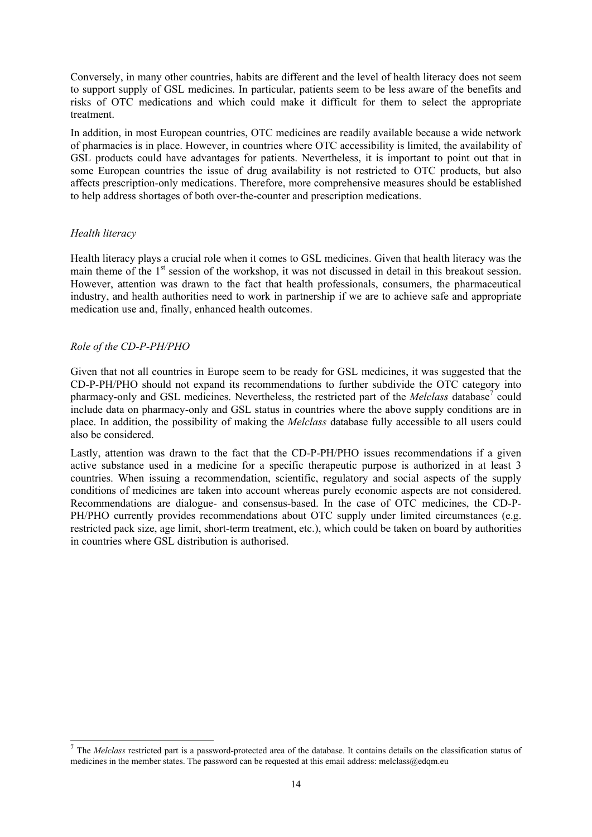Conversely, in many other countries, habits are different and the level of health literacy does not seem to support supply of GSL medicines. In particular, patients seem to be less aware of the benefits and risks of OTC medications and which could make it difficult for them to select the appropriate treatment.

In addition, in most European countries, OTC medicines are readily available because a wide network of pharmacies is in place. However, in countries where OTC accessibility is limited, the availability of GSL products could have advantages for patients. Nevertheless, it is important to point out that in some European countries the issue of drug availability is not restricted to OTC products, but also affects prescription-only medications. Therefore, more comprehensive measures should be established to help address shortages of both over-the-counter and prescription medications.

#### *Health literacy*

-

Health literacy plays a crucial role when it comes to GSL medicines. Given that health literacy was the main theme of the 1<sup>st</sup> session of the workshop, it was not discussed in detail in this breakout session. However, attention was drawn to the fact that health professionals, consumers, the pharmaceutical industry, and health authorities need to work in partnership if we are to achieve safe and appropriate medication use and, finally, enhanced health outcomes.

#### *Role of the CD-P-PH/PHO*

Given that not all countries in Europe seem to be ready for GSL medicines, it was suggested that the CD-P-PH/PHO should not expand its recommendations to further subdivide the OTC category into pharmacy-only and GSL medicines. Nevertheless, the restricted part of the *Melclass* database<sup>7</sup> could include data on pharmacy-only and GSL status in countries where the above supply conditions are in place. In addition, the possibility of making the *Melclass* database fully accessible to all users could also be considered.

Lastly, attention was drawn to the fact that the CD-P-PH/PHO issues recommendations if a given active substance used in a medicine for a specific therapeutic purpose is authorized in at least 3 countries. When issuing a recommendation, scientific, regulatory and social aspects of the supply conditions of medicines are taken into account whereas purely economic aspects are not considered. Recommendations are dialogue- and consensus-based. In the case of OTC medicines, the CD-P-PH/PHO currently provides recommendations about OTC supply under limited circumstances (e.g. restricted pack size, age limit, short-term treatment, etc.), which could be taken on board by authorities in countries where GSL distribution is authorised.

<sup>&</sup>lt;sup>7</sup> The *Melclass* restricted part is a password-protected area of the database. It contains details on the classification status of medicines in the member states. The password can be requested at this email address: melclass@edqm.eu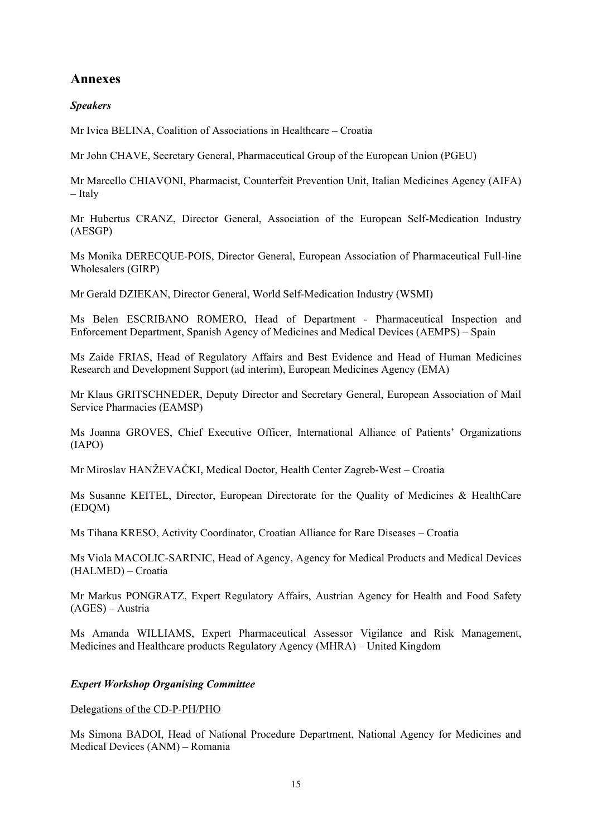# **Annexes**

# *Speakers*

Mr Ivica BELINA, Coalition of Associations in Healthcare – Croatia

Mr John CHAVE, Secretary General, Pharmaceutical Group of the European Union (PGEU)

Mr Marcello CHIAVONI, Pharmacist, Counterfeit Prevention Unit, Italian Medicines Agency (AIFA) – Italy

Mr Hubertus CRANZ, Director General, Association of the European Self-Medication Industry (AESGP)

Ms Monika DERECQUE-POIS, Director General, European Association of Pharmaceutical Full-line Wholesalers (GIRP)

Mr Gerald DZIEKAN, Director General, World Self-Medication Industry (WSMI)

Ms Belen ESCRIBANO ROMERO, Head of Department - Pharmaceutical Inspection and Enforcement Department, Spanish Agency of Medicines and Medical Devices (AEMPS) – Spain

Ms Zaide FRIAS, Head of Regulatory Affairs and Best Evidence and Head of Human Medicines Research and Development Support (ad interim), European Medicines Agency (EMA)

Mr Klaus GRITSCHNEDER, Deputy Director and Secretary General, European Association of Mail Service Pharmacies (EAMSP)

Ms Joanna GROVES, Chief Executive Officer, International Alliance of Patients' Organizations (IAPO)

Mr Miroslav HANŽEVAČKI, Medical Doctor, Health Center Zagreb-West – Croatia

Ms Susanne KEITEL, Director, European Directorate for the Quality of Medicines & HealthCare (EDQM)

Ms Tihana KRESO, Activity Coordinator, Croatian Alliance for Rare Diseases – Croatia

Ms Viola MACOLIC-SARINIC, Head of Agency, Agency for Medical Products and Medical Devices (HALMED) – Croatia

Mr Markus PONGRATZ, Expert Regulatory Affairs, Austrian Agency for Health and Food Safety (AGES) – Austria

Ms Amanda WILLIAMS, Expert Pharmaceutical Assessor Vigilance and Risk Management, Medicines and Healthcare products Regulatory Agency (MHRA) – United Kingdom

## *Expert Workshop Organising Committee*

#### Delegations of the CD-P-PH/PHO

Ms Simona BADOI, Head of National Procedure Department, National Agency for Medicines and Medical Devices (ANM) – Romania